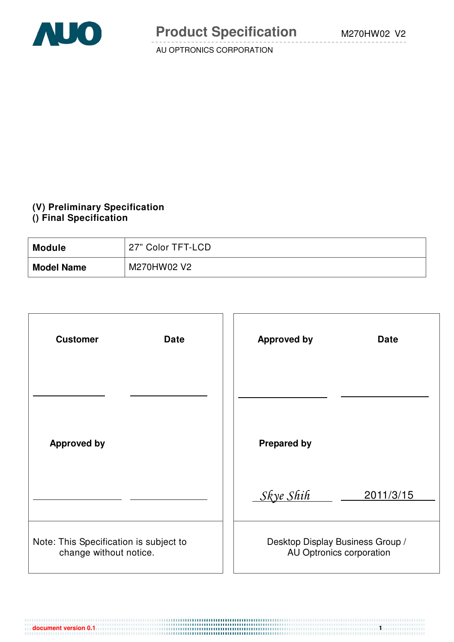

#### **(V) Preliminary Specification () Final Specification**

| <b>Module</b>     | 27" Color TFT-LCD |
|-------------------|-------------------|
| <b>Model Name</b> | M270HW02 V2       |

| <b>Customer</b><br><b>Date</b>                                   | <b>Approved by</b><br><b>Date</b>                            |
|------------------------------------------------------------------|--------------------------------------------------------------|
|                                                                  |                                                              |
| <b>Approved by</b>                                               | <b>Prepared by</b>                                           |
|                                                                  | Skye Shih<br>2011/3/15                                       |
| Note: This Specification is subject to<br>change without notice. | Desktop Display Business Group /<br>AU Optronics corporation |

**document version 0.1 1**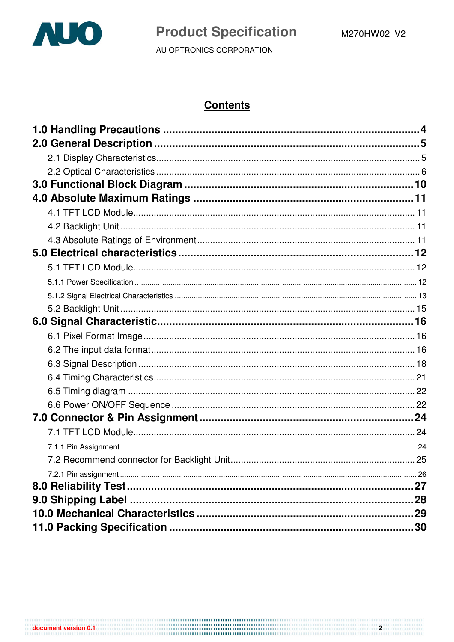

 $\overline{\mathbf{2}}$ 

AU OPTRONICS CORPORATION

# **Contents**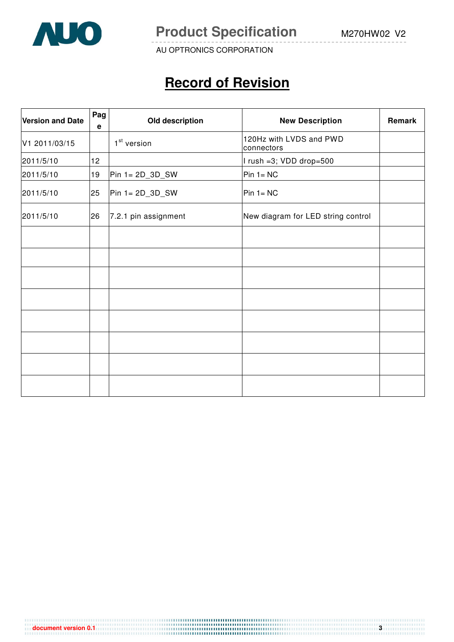

**Product Specification** M270HW02 V2

AU OPTRONICS CORPORATION

# **Record of Revision**

| <b>Version and Date</b> | Pag<br>e | Old description         | <b>New Description</b>                | Remark |
|-------------------------|----------|-------------------------|---------------------------------------|--------|
| V1 2011/03/15           |          | 1 <sup>st</sup> version | 120Hz with LVDS and PWD<br>connectors |        |
| 2011/5/10               | 12       |                         | I rush =3; VDD drop=500               |        |
| 2011/5/10               | 19       | Pin $1 = 2D_3D_SW$      | $Pin 1 = NC$                          |        |
| 2011/5/10               | 25       | $Pin 1 = 2D_3D_SW$      | $Pin 1 = NC$                          |        |
| 2011/5/10               | 26       | 7.2.1 pin assignment    | New diagram for LED string control    |        |
|                         |          |                         |                                       |        |
|                         |          |                         |                                       |        |
|                         |          |                         |                                       |        |
|                         |          |                         |                                       |        |
|                         |          |                         |                                       |        |
|                         |          |                         |                                       |        |
|                         |          |                         |                                       |        |
|                         |          |                         |                                       |        |

**document version 0.1 3 3**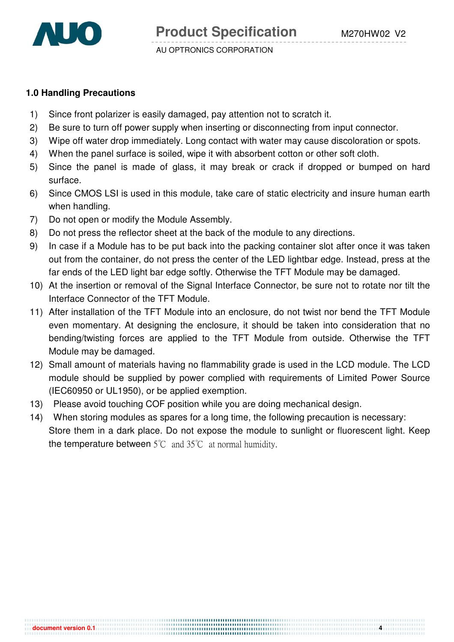

**document version 0.1 4** 

#### **1.0 Handling Precautions**

- 1) Since front polarizer is easily damaged, pay attention not to scratch it.
- 2) Be sure to turn off power supply when inserting or disconnecting from input connector.
- 3) Wipe off water drop immediately. Long contact with water may cause discoloration or spots.
- 4) When the panel surface is soiled, wipe it with absorbent cotton or other soft cloth.
- 5) Since the panel is made of glass, it may break or crack if dropped or bumped on hard surface.
- 6) Since CMOS LSI is used in this module, take care of static electricity and insure human earth when handling.
- 7) Do not open or modify the Module Assembly.
- 8) Do not press the reflector sheet at the back of the module to any directions.
- 9) In case if a Module has to be put back into the packing container slot after once it was taken out from the container, do not press the center of the LED lightbar edge. Instead, press at the far ends of the LED light bar edge softly. Otherwise the TFT Module may be damaged.
- 10) At the insertion or removal of the Signal Interface Connector, be sure not to rotate nor tilt the Interface Connector of the TFT Module.
- 11) After installation of the TFT Module into an enclosure, do not twist nor bend the TFT Module even momentary. At designing the enclosure, it should be taken into consideration that no bending/twisting forces are applied to the TFT Module from outside. Otherwise the TFT Module may be damaged.
- 12) Small amount of materials having no flammability grade is used in the LCD module. The LCD module should be supplied by power complied with requirements of Limited Power Source (IEC60950 or UL1950), or be applied exemption.
- 13) Please avoid touching COF position while you are doing mechanical design.
- 14) When storing modules as spares for a long time, the following precaution is necessary: Store them in a dark place. Do not expose the module to sunlight or fluorescent light. Keep the temperature between  $5^{\circ}$ C and  $35^{\circ}$ C at normal humidity.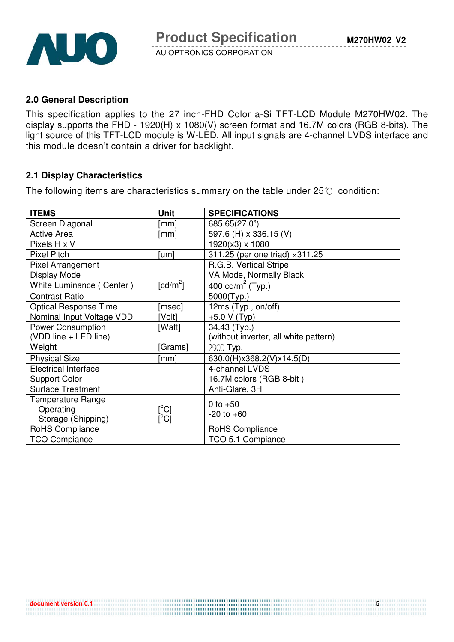

#### **2.0 General Description**

This specification applies to the 27 inch-FHD Color a-Si TFT-LCD Module M270HW02. The display supports the FHD - 1920(H) x 1080(V) screen format and 16.7M colors (RGB 8-bits). The light source of this TFT-LCD module is W-LED. All input signals are 4-channel LVDS interface and this module doesn't contain a driver for backlight.

## **2.1 Display Characteristics**

The following items are characteristics summary on the table under  $25^{\circ}$  condition:

| <b>ITEMS</b>                 | <b>Unit</b>                             | <b>SPECIFICATIONS</b>                    |
|------------------------------|-----------------------------------------|------------------------------------------|
| Screen Diagonal              | [mm]                                    | 685.65(27.0")                            |
| <b>Active Area</b>           | [mm]                                    | 597.6 (H) x 336.15 (V)                   |
| Pixels H x V                 |                                         | 1920(x3) x 1080                          |
| <b>Pixel Pitch</b>           | [um]                                    | 311.25 (per one triad) × 311.25          |
| Pixel Arrangement            |                                         | R.G.B. Vertical Stripe                   |
| Display Mode                 |                                         | VA Mode, Normally Black                  |
| White Luminance (Center)     | $\lceil cd/m^2 \rceil$                  | $\frac{1}{400}$ cd/m <sup>2</sup> (Typ.) |
| <b>Contrast Ratio</b>        |                                         | 5000(Typ.)                               |
| <b>Optical Response Time</b> | [msec]                                  | 12ms (Typ., on/off)                      |
| Nominal Input Voltage VDD    | [Volt]                                  | $+5.0 V(Typ)$                            |
| <b>Power Consumption</b>     | [Watt]                                  | 34.43 (Typ.)                             |
| (VDD line + LED line)        |                                         | (without inverter, all white pattern)    |
| Weight                       | [Grams]                                 | 2900 Typ.                                |
| <b>Physical Size</b>         | [mm]                                    | 630.0(H)x368.2(V)x14.5(D)                |
| <b>Electrical Interface</b>  |                                         | 4-channel LVDS                           |
| <b>Support Color</b>         |                                         | 16.7M colors (RGB 8-bit)                 |
| <b>Surface Treatment</b>     |                                         | Anti-Glare, 3H                           |
| <b>Temperature Range</b>     |                                         | 0 to $+50$                               |
| Operating                    | $\lceil{^{\circ}C}\rceil$               | $-20$ to $+60$                           |
| Storage (Shipping)           | $\mathsf{I}^\circ\mathsf{C} \mathsf{I}$ |                                          |
| RoHS Compliance              |                                         | RoHS Compliance                          |
| <b>TCO Compiance</b>         |                                         | TCO 5.1 Compiance                        |

**document version 0.1 5**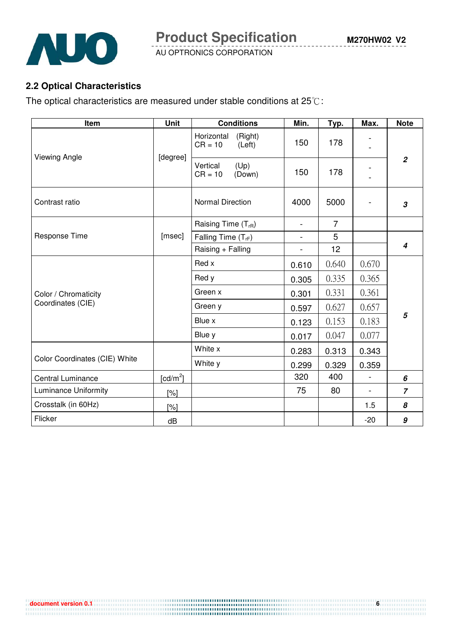

**Product Specification** 

AU OPTRONICS CORPORATION

## **2.2 Optical Characteristics**

The optical characteristics are measured under stable conditions at  $25^{\circ}$ C:

| Item                          | <b>Unit</b>          | <b>Conditions</b>                            | Min.                         | Typ.           | Max.           | <b>Note</b>    |  |
|-------------------------------|----------------------|----------------------------------------------|------------------------------|----------------|----------------|----------------|--|
|                               |                      | (Right)<br>Horizontal<br>$CR = 10$<br>(Left) | 150                          | 178            |                |                |  |
| <b>Viewing Angle</b>          | [degree]             | Vertical<br>(Up)<br>$CR = 10$<br>(Down)      | 150                          | 178            |                | $\overline{2}$ |  |
| Contrast ratio                |                      | <b>Normal Direction</b>                      | 4000                         | 5000           |                | 3              |  |
|                               |                      | Raising Time $(T_{rR})$                      | $\overline{\phantom{a}}$     | $\overline{7}$ |                |                |  |
| Response Time                 | [msec]               | Falling Time $(T_{rf})$                      | $\qquad \qquad \blacksquare$ | 5              |                |                |  |
|                               |                      | Raising + Falling                            | $\overline{\phantom{0}}$     | 12             |                | 4              |  |
|                               |                      | Red x                                        | 0.610                        | 0.640          | 0.670          |                |  |
|                               |                      | Red y                                        | 0.305                        | 0.335          | 0.365          |                |  |
| Color / Chromaticity          |                      | Green x                                      | 0.301                        | 0.331          | 0.361          |                |  |
| Coordinates (CIE)             |                      | Green y                                      | 0.597                        | 0.627          | 0.657          | 5              |  |
|                               |                      | Blue x                                       | 0.123                        | 0.153          | 0.183          |                |  |
|                               |                      | Blue y                                       | 0.017                        | 0.047          | 0.077          |                |  |
|                               |                      | White x                                      | 0.283                        | 0.313          | 0.343          |                |  |
| Color Coordinates (CIE) White |                      | White y                                      | 0.299                        | 0.329          | 0.359          |                |  |
| <b>Central Luminance</b>      | [cd/m <sup>2</sup> ] |                                              | 320                          | 400            |                | 6              |  |
| Luminance Uniformity          | [%]                  |                                              | 75                           | 80             | $\blacksquare$ | $\overline{7}$ |  |
| Crosstalk (in 60Hz)           | [%]                  |                                              |                              |                | 1.5            | 8              |  |
| Flicker                       | dB                   |                                              |                              |                | $-20$          | 9              |  |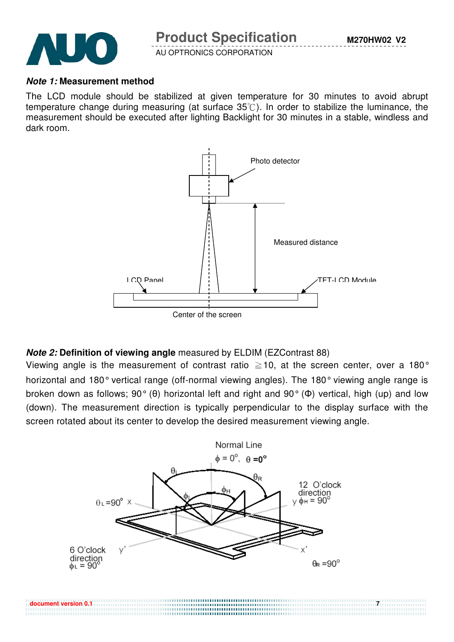

#### **Note 1: Measurement method**

The LCD module should be stabilized at given temperature for 30 minutes to avoid abrupt temperature change during measuring (at surface  $35^{\circ}$ ). In order to stabilize the luminance, the measurement should be executed after lighting Backlight for 30 minutes in a stable, windless and dark room.



## **Note 2: Definition of viewing angle** measured by ELDIM (EZContrast 88)

Viewing angle is the measurement of contrast ratio  $\geq$  10, at the screen center, over a 180° horizontal and 180° vertical range (off-normal viewing angles). The 180° viewing angle range is broken down as follows; 90° (θ) horizontal left and right and 90° (Φ) vertical, high (up) and low (down). The measurement direction is typically perpendicular to the display surface with the screen rotated about its center to develop the desired measurement viewing angle.



**document version 0.1 7 7** 

........................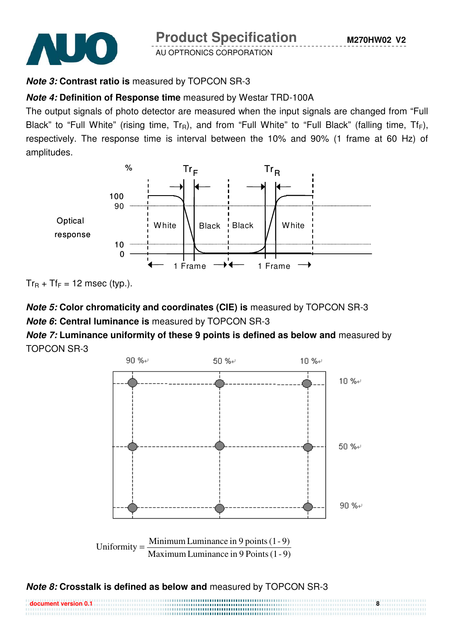

**Product Specification** 

AU OPTRONICS CORPORATION

# **Note 3: Contrast ratio is** measured by TOPCON SR-3

# **Note 4: Definition of Response time** measured by Westar TRD-100A

The output signals of photo detector are measured when the input signals are changed from "Full Black" to "Full White" (rising time,  $Tr_R$ ), and from "Full White" to "Full Black" (falling time,  $Tr_F$ ), respectively. The response time is interval between the 10% and 90% (1 frame at 60 Hz) of amplitudes.



 $Tr_R$  +  $Tr_F$  = 12 msec (typ.).

# **Note 5: Color chromaticity and coordinates (CIE) is** measured by TOPCON SR-3 **Note 6: Central luminance is** measured by TOPCON SR-3

**Note 7: Luminance uniformity of these 9 points is defined as below and** measured by TOPCON SR-3



# **Note 8: Crosstalk is defined as below and** measured by TOPCON SR-3

| $\,$ document version 0.1 $\,$ |  |
|--------------------------------|--|
|                                |  |
|                                |  |
|                                |  |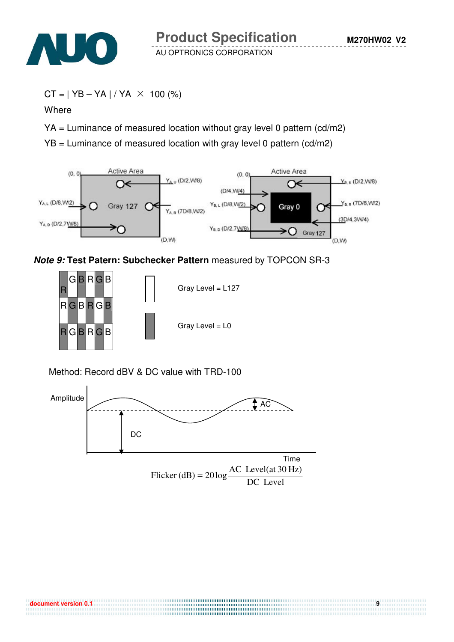

```
CT = | YB - YA | / YA \times 100 (%)
```
**Where** 

 $YA =$  Luminance of measured location without gray level 0 pattern (cd/m2)

 $YB =$  Luminance of measured location with gray level 0 pattern (cd/m2)



**Note 9: Test Patern: Subchecker Pattern** measured by TOPCON SR-3



Method: Record dBV & DC value with TRD-100



**document version 0.1** 9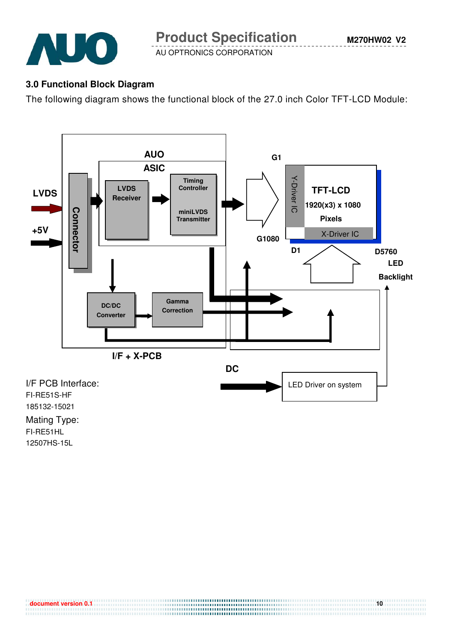

## **3.0 Functional Block Diagram**

The following diagram shows the functional block of the 27.0 inch Color TFT-LCD Module:



**document version 0.1 10** 

...................................

FI-RE51HL 12507HS-15L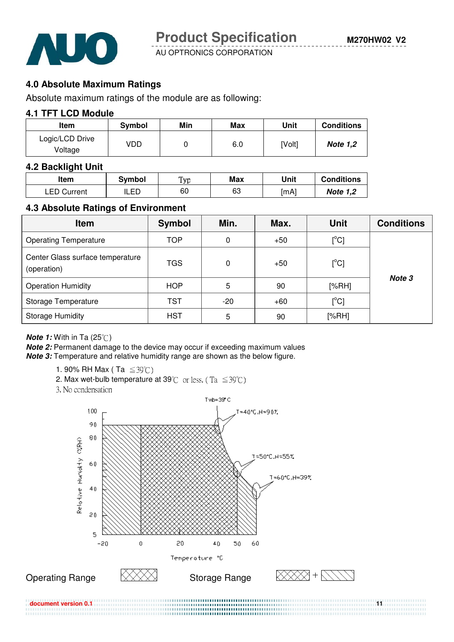

### **4.0 Absolute Maximum Ratings**

Absolute maximum ratings of the module are as following:

#### **4.1 TFT LCD Module**

| Item                       | Symbol | Min | Max | Unit   | <b>Conditions</b> |
|----------------------------|--------|-----|-----|--------|-------------------|
| Logic/LCD Drive<br>Voltage | VDD    |     | 6.0 | [Volt] | <b>Note 1,2</b>   |
|                            |        |     |     |        |                   |

#### **4.2 Backlight Unit**

| ltem               | Symbol       | Typ | Max | Unit | <b>Conditions</b> |
|--------------------|--------------|-----|-----|------|-------------------|
| <b>LED Current</b> | חם וי<br>ᄔᄂᄂ | 60  | 63  | [mA] | <b>Note 1,2</b>   |

#### **4.3 Absolute Ratings of Environment**

| <b>Item</b>                                     | <b>Symbol</b> | Min.  | Max.  | <b>Unit</b>       | <b>Conditions</b> |
|-------------------------------------------------|---------------|-------|-------|-------------------|-------------------|
| <b>Operating Temperature</b>                    | <b>TOP</b>    | 0     | $+50$ | $[^{\circ}C]$     |                   |
| Center Glass surface temperature<br>(operation) | TGS           | 0     | $+50$ | $[^{\circ}C]$     | Note 3            |
| <b>Operation Humidity</b>                       | <b>HOP</b>    | 5     | 90    | [%RH]             |                   |
| Storage Temperature                             | <b>TST</b>    | $-20$ | $+60$ | $\rm [^{\circ}C]$ |                   |
| <b>Storage Humidity</b>                         | <b>HST</b>    | 5     | 90    | [%RH]             |                   |

**Note 1:** With in Ta (25°C)

**Note 2:** Permanent damage to the device may occur if exceeding maximum values **Note 3:** Temperature and relative humidity range are shown as the below figure.

- 1. 90% RH Max (Ta  $\leq 39^{\circ}$ C)
- 2. Max wet-bulb temperature at 39°C or less. (Ta  $\leq 39^{\circ}$ C)
- 3. No condensation



**document version 0.1 11** *a***document version 0.1 <b>in a construction of the construction** of the construction of the construction of the construction of the construction of the construction of the construction of the cons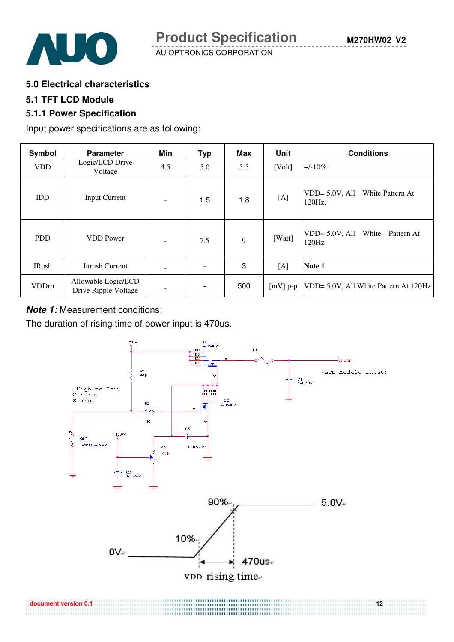

#### **5.0 Electrical characteristics**

#### **5.1 TFT LCD Module**

#### **5.1.1 Power Specification**

Input power specifications are as following:

| Symbol       | <b>Parameter</b>                            | Min            | Typ | Max | Unit                | <b>Conditions</b>                               |
|--------------|---------------------------------------------|----------------|-----|-----|---------------------|-------------------------------------------------|
| <b>VDD</b>   | Logic/LCD Drive<br>Voltage                  | 4.5            | 5.0 | 5.5 | [Vol <sub>t</sub> ] | $+/-10\%$                                       |
| <b>IDD</b>   | <b>Input Current</b>                        | $\blacksquare$ | 1.5 | 1.8 | [A]                 | $VDD = 5.0V, All$<br>White Pattern At<br>120Hz, |
| <b>PDD</b>   | <b>VDD</b> Power                            | ٠              | 7.5 | 9   | [Watt]              | VDD= 5.0V, All White Pattern At<br>120Hz        |
| IRush        | <b>Inrush Current</b>                       | -              |     | 3   | [A]                 | Note 1                                          |
| <b>VDDrp</b> | Allowable Logic/LCD<br>Drive Ripple Voltage | -              |     | 500 | $[mV]$ p-p          | VDD= 5.0V, All White Pattern At 120Hz           |

#### **Note 1:** Measurement conditions:

The duration of rising time of power input is 470us.



...............................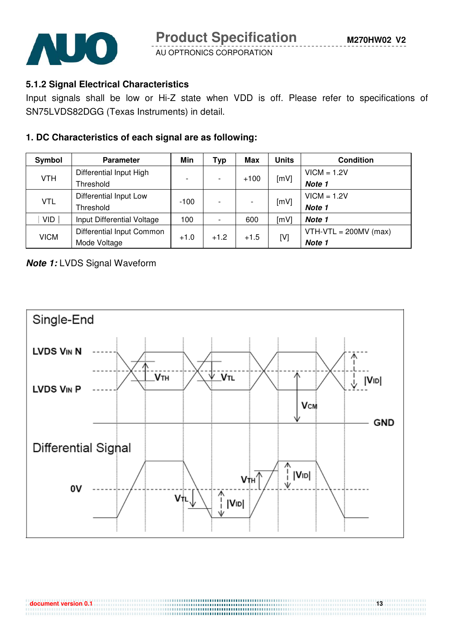



## **5.1.2 Signal Electrical Characteristics**

Input signals shall be low or Hi-Z state when VDD is off. Please refer to specifications of SN75LVDS82DGG (Texas Instruments) in detail.

## **1. DC Characteristics of each signal are as following:**

| Symbol      | <b>Parameter</b>           | Min    | Typ    | Max    | Units | <b>Condition</b>        |
|-------------|----------------------------|--------|--------|--------|-------|-------------------------|
|             | Differential Input High    |        |        | $+100$ | [mV]  | $VICM = 1.2V$           |
| <b>VTH</b>  | Threshold                  |        |        |        |       | Note 1                  |
|             | Differential Input Low     |        |        |        | [mV]  | $VICM = 1.2V$           |
| <b>VTL</b>  | Threshold                  | $-100$ |        |        |       | Note 1                  |
| <b>VID</b>  | Input Differential Voltage | 100    |        | 600    | [mV]  | Note 1                  |
| <b>VICM</b> | Differential Input Common  |        | $+1.2$ | $+1.5$ |       | $VTH-VTL = 200MV (max)$ |
|             | Mode Voltage               | $+1.0$ |        |        | [V]   | Note 1                  |

## **Note 1:** LVDS Signal Waveform



**document version 0.1 13**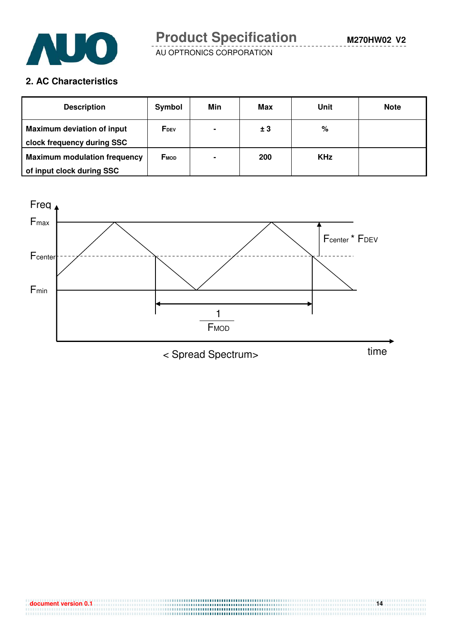

# **2. AC Characteristics**

| <b>Description</b>                  | Symbol           | Min            | Max | Unit       | <b>Note</b> |
|-------------------------------------|------------------|----------------|-----|------------|-------------|
| <b>Maximum deviation of input</b>   | F <sub>DEV</sub> | $\blacksquare$ | ± 3 | %          |             |
| clock frequency during SSC          |                  |                |     |            |             |
| <b>Maximum modulation frequency</b> | <b>FMOD</b>      | $\blacksquare$ | 200 | <b>KHz</b> |             |
| of input clock during SSC           |                  |                |     |            |             |

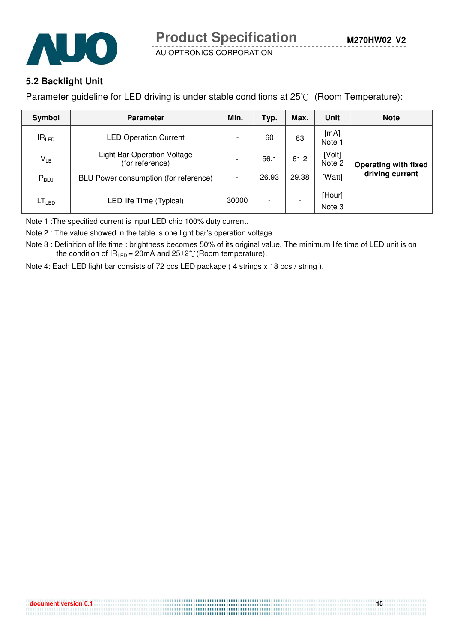



## **5.2 Backlight Unit**

Parameter guideline for LED driving is under stable conditions at  $25^{\circ}$  (Room Temperature):

| Symbol            | <b>Parameter</b>                                      | Min.                     | Typ.                     | Max.  | Unit             | <b>Note</b>                 |  |
|-------------------|-------------------------------------------------------|--------------------------|--------------------------|-------|------------------|-----------------------------|--|
| IR <sub>LED</sub> | <b>LED Operation Current</b>                          |                          | 60                       | 63    | [mA]<br>Note -   | <b>Operating with fixed</b> |  |
| $V_{LB}$          | <b>Light Bar Operation Voltage</b><br>(for reference) | $\overline{\phantom{0}}$ | 56.1                     | 61.2  | [Volt]<br>Note 2 |                             |  |
| $P_{\text{BLU}}$  | BLU Power consumption (for reference)                 |                          | 26.93                    | 29.38 | [Watt]           | driving current             |  |
| LT <sub>LED</sub> | LED life Time (Typical)                               | 30000                    | $\overline{\phantom{0}}$ |       | [Hour]<br>Note 3 |                             |  |

Note 1 :The specified current is input LED chip 100% duty current.

Note 2 : The value showed in the table is one light bar's operation voltage.

Note 3 : Definition of life time : brightness becomes 50% of its original value. The minimum life time of LED unit is on the condition of  $IR_{LED} = 20mA$  and  $25\pm2\degree$  (Room temperature).

Note 4: Each LED light bar consists of 72 pcs LED package ( 4 strings x 18 pcs / string ).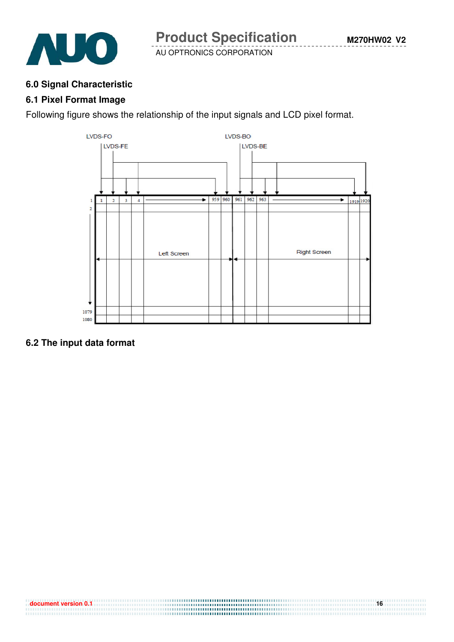

#### **6.0 Signal Characteristic**

#### **6.1 Pixel Format Image**

Following figure shows the relationship of the input signals and LCD pixel format.



## **6.2 The input data format**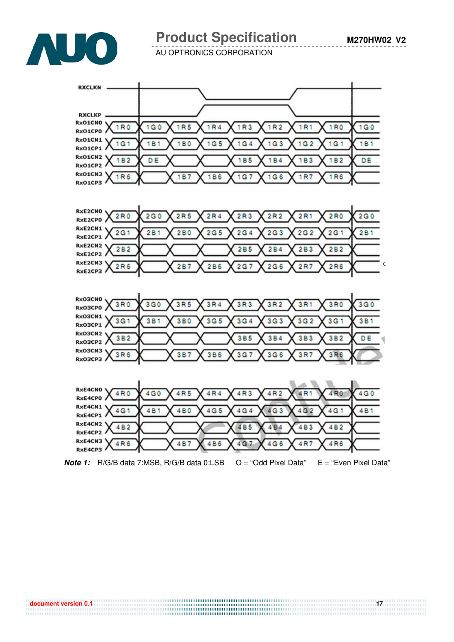



# **Product Specification**

AU OPTRONICS CORPORATION



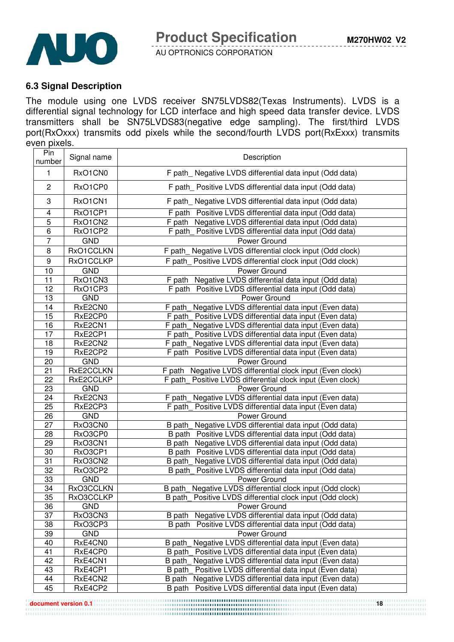

#### **6.3 Signal Description**

The module using one LVDS receiver SN75LVDS82(Texas Instruments). LVDS is a differential signal technology for LCD interface and high speed data transfer device. LVDS transmitters shall be SN75LVDS83(negative edge sampling). The first/third LVDS port(RxOxxx) transmits odd pixels while the second/fourth LVDS port(RxExxx) transmits even pixels.

| Pin<br>number   | Signal name        | Description                                                                                                         |  |  |
|-----------------|--------------------|---------------------------------------------------------------------------------------------------------------------|--|--|
| 1               | RxO1CN0            | F path Negative LVDS differential data input (Odd data)                                                             |  |  |
| $\overline{c}$  | RxO1CP0            | F path Positive LVDS differential data input (Odd data)                                                             |  |  |
| 3               | RxO1CN1            | F path_Negative LVDS differential data input (Odd data)                                                             |  |  |
| 4               | RxO1CP1            | F path Positive LVDS differential data input (Odd data)                                                             |  |  |
| 5               | RxO1CN2            | F path Negative LVDS differential data input (Odd data)                                                             |  |  |
| 6               | RxO1CP2            | F path_Positive LVDS differential data input (Odd data)                                                             |  |  |
| $\overline{7}$  | <b>GND</b>         | Power Ground                                                                                                        |  |  |
| 8               | RxO1CCLKN          | F path_Negative LVDS differential clock input (Odd clock)                                                           |  |  |
| 9               | RxO1CCLKP          | Positive LVDS differential clock input (Odd clock)<br>F path                                                        |  |  |
| 10              | <b>GND</b>         | Power Ground                                                                                                        |  |  |
| 11              | RxO1CN3            | F path Negative LVDS differential data input (Odd data)                                                             |  |  |
| 12              | RxO1CP3            | F path Positive LVDS differential data input (Odd data)                                                             |  |  |
| 13              | <b>GND</b>         | Power Ground                                                                                                        |  |  |
| 14              | RxE2CN0            | Negative LVDS differential data input (Even data)<br>F path                                                         |  |  |
| $\overline{15}$ | RxE2CP0            | F path Positive LVDS differential data input (Even data)                                                            |  |  |
| 16              | RxE2CN1            | F path Negative LVDS differential data input (Even data)                                                            |  |  |
| $\overline{17}$ | RxE2CP1            | F path_ Positive LVDS differential data input (Even data)                                                           |  |  |
| 18              | RxE2CN2            | F path_Negative LVDS differential data input (Even data)                                                            |  |  |
| 19              | RxE2CP2            | F path Positive LVDS differential data input (Even data)                                                            |  |  |
| 20              | <b>GND</b>         | Power Ground                                                                                                        |  |  |
| 21              | RxE2CCLKN          | Negative LVDS differential clock input (Even clock)<br>F path                                                       |  |  |
| 22              | RxE2CCLKP          | F path  Positive LVDS differential clock input (Even clock)                                                         |  |  |
| 23              | <b>GND</b>         | Power Ground                                                                                                        |  |  |
| 24              | RxE2CN3            | Negative LVDS differential data input (Even data)<br>F path                                                         |  |  |
| 25              | RxE2CP3            | F path  Positive LVDS differential data input (Even data)                                                           |  |  |
| 26              | <b>GND</b>         | Power Ground                                                                                                        |  |  |
| $\overline{27}$ | RxO3CN0            | Negative LVDS differential data input (Odd data)<br>B path                                                          |  |  |
| 28              | RxO3CP0            | B path Positive LVDS differential data input (Odd data)                                                             |  |  |
| 29<br>30        | RxO3CN1<br>RxO3CP1 | B path Negative LVDS differential data input (Odd data)                                                             |  |  |
| $\overline{31}$ | RxO3CN2            | B path Positive LVDS differential data input (Odd data)<br>B path_ Negative LVDS differential data input (Odd data) |  |  |
| 32              | RxO3CP2            | B path Positive LVDS differential data input (Odd data)                                                             |  |  |
| 33              | <b>GND</b>         | Power Ground                                                                                                        |  |  |
| $\overline{34}$ | RxO3CCLKN          | B path_Negative LVDS differential clock input (Odd clock)                                                           |  |  |
| 35              | RxO3CCLKP          | B path Positive LVDS differential clock input (Odd clock)                                                           |  |  |
| 36              | <b>GND</b>         | Power Ground                                                                                                        |  |  |
| 37              | RxO3CN3            | Negative LVDS differential data input (Odd data)<br>B path                                                          |  |  |
| 38              | RxO3CP3            | B path Positive LVDS differential data input (Odd data)                                                             |  |  |
| 39              | <b>GND</b>         | Power Ground                                                                                                        |  |  |
| 40              | RxE4CN0            | Negative LVDS differential data input (Even data)<br>B path                                                         |  |  |
| 41              | RxE4CP0            | Positive LVDS differential data input (Even data)<br>B path                                                         |  |  |
| 42              | RxE4CN1            | B path<br>Negative LVDS differential data input (Even data)                                                         |  |  |
| 43              | RxE4CP1            | Positive LVDS differential data input (Even data)<br>B path                                                         |  |  |
| 44              | RxE4CN2            | Negative LVDS differential data input (Even data)<br>B path                                                         |  |  |
| 45              | RxE4CP2            | Positive LVDS differential data input (Even data)<br>B path                                                         |  |  |

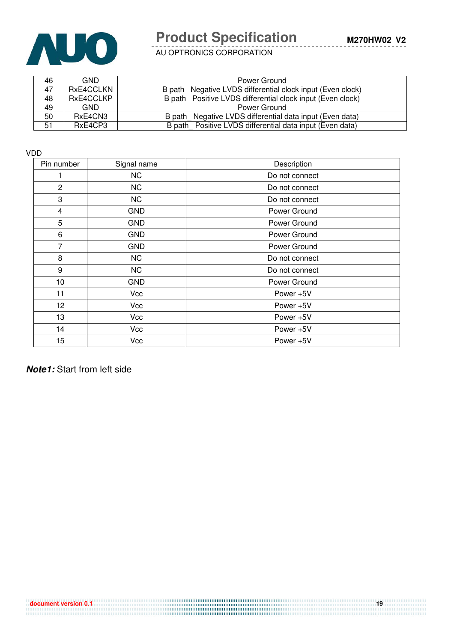

# **Product Specification**

**M270HW02 V2**

AU OPTRONICS CORPORATION

| 46 | <b>GND</b> | Power Ground                                               |
|----|------------|------------------------------------------------------------|
| 47 | RxE4CCLKN  | B path Negative LVDS differential clock input (Even clock) |
| 48 | RxE4CCLKP  | B path Positive LVDS differential clock input (Even clock) |
| 49 | <b>GND</b> | Power Ground                                               |
| 50 | RxE4CN3    | B path Negative LVDS differential data input (Even data)   |
| 51 | RxE4CP3    | B path Positive LVDS differential data input (Even data)   |

VDD

| Pin number     | Signal name | Description    |
|----------------|-------------|----------------|
|                | <b>NC</b>   | Do not connect |
| $\overline{c}$ | <b>NC</b>   | Do not connect |
| 3              | <b>NC</b>   | Do not connect |
| 4              | <b>GND</b>  | Power Ground   |
| 5              | <b>GND</b>  | Power Ground   |
| 6              | <b>GND</b>  | Power Ground   |
| 7              | <b>GND</b>  | Power Ground   |
| 8              | <b>NC</b>   | Do not connect |
| 9              | <b>NC</b>   | Do not connect |
| 10             | <b>GND</b>  | Power Ground   |
| 11             | Vcc         | Power +5V      |
| 12             | Vcc         | Power +5V      |
| 13             | Vcc         | Power +5V      |
| 14             | Vcc         | Power +5V      |
| 15             | Vcc         | Power +5V      |

**Note1:** Start from left side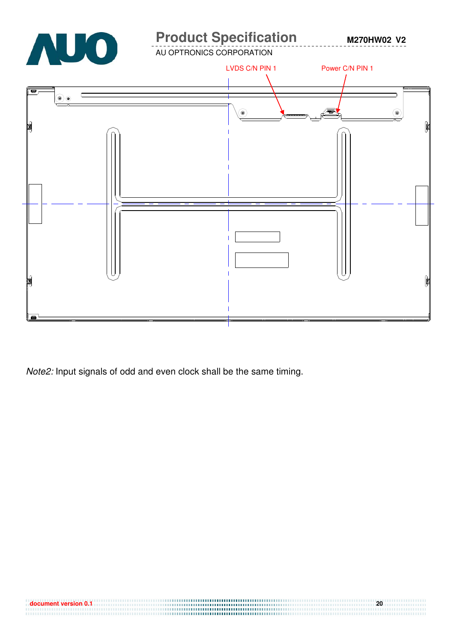

........................

Note2: Input signals of odd and even clock shall be the same timing.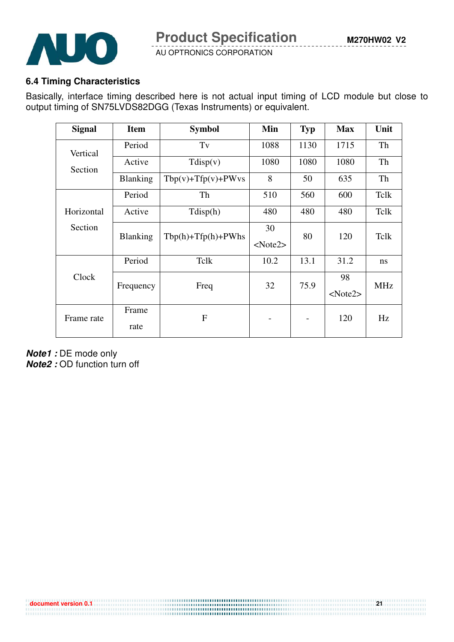

## **6.4 Timing Characteristics**

Basically, interface timing described here is not actual input timing of LCD module but close to output timing of SN75LVDS82DGG (Texas Instruments) or equivalent.

| <b>Signal</b> | <b>Item</b>     | <b>Symbol</b>            | Min  | <b>Typ</b> | <b>Max</b> | Unit       |  |
|---------------|-----------------|--------------------------|------|------------|------------|------------|--|
| Vertical      | Period          | Tv                       | 1088 | 1130       | 1715       | Th         |  |
| Section       | Active          | Tdisp(v)                 | 1080 | 1080       | 1080       | Th         |  |
|               | <b>Blanking</b> | $Tbp(v) + Tfp(v) + PWvs$ | 8    | 50         | 635        | Th         |  |
|               | Period          | Th                       | 510  | 560        | 600        | Telk       |  |
| Horizontal    | Active          | Tdisp(h)                 | 480  | 480        | 480        | Telk       |  |
| Section       | <b>Blanking</b> | $Tbp(h) + Tfp(h) + PWhs$ | 30   | 80         | 120        | Telk       |  |
|               |                 |                          |      |            |            |            |  |
|               | Period          | Tclk                     | 10.2 | 13.1       | 31.2       | ns         |  |
| Clock         | Frequency       | Freq                     | 32   | 75.9       | 98         | <b>MHz</b> |  |
|               |                 |                          |      |            | $<$ Note2> |            |  |
| Frame rate    | Frame           | F                        |      |            | 120        | Hz         |  |
|               | rate            |                          |      |            |            |            |  |

**Note1 :** DE mode only

**Note2 :** OD function turn off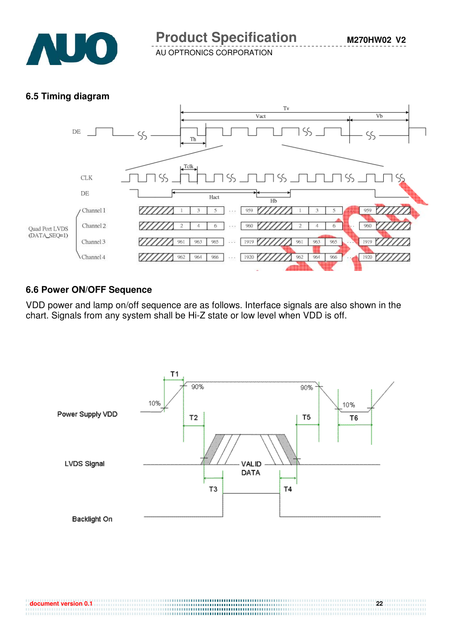

## **6.5 Timing diagram**



## **6.6 Power ON/OFF Sequence**

VDD power and lamp on/off sequence are as follows. Interface signals are also shown in the chart. Signals from any system shall be Hi-Z state or low level when VDD is off.

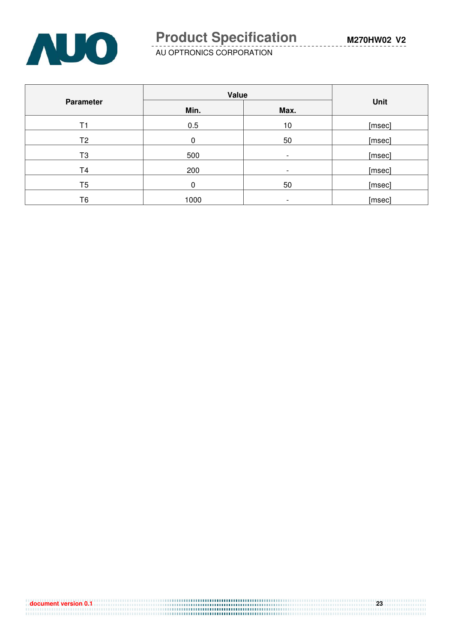

|                  | Value | <b>Unit</b>              |        |
|------------------|-------|--------------------------|--------|
| <b>Parameter</b> | Min.  | Max.                     |        |
| Τ1               | 0.5   | 10                       | [msec] |
| T <sub>2</sub>   | 0     | 50                       | [msec] |
| T3               | 500   |                          | [msec] |
| T <sub>4</sub>   | 200   | $\overline{\phantom{a}}$ | [msec] |
| T <sub>5</sub>   | 0     | 50                       | [msec] |
| T6               | 1000  | $\overline{\phantom{a}}$ | [msec] |

| $\sim$ document version 0.1 $\,$ | 23 |
|----------------------------------|----|
|                                  |    |
|                                  |    |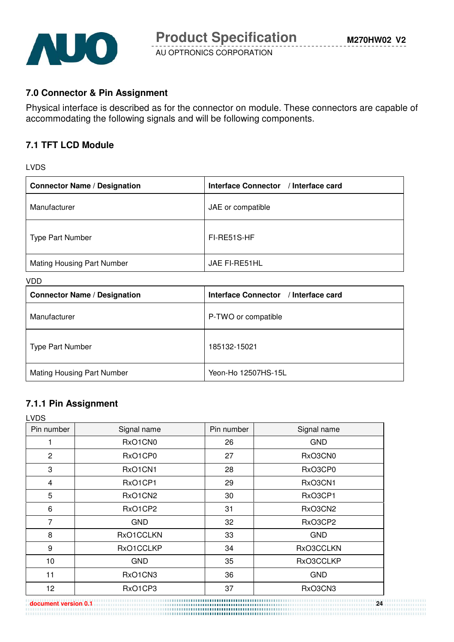

## **7.0 Connector & Pin Assignment**

Physical interface is described as for the connector on module. These connectors are capable of accommodating the following signals and will be following components.

#### **7.1 TFT LCD Module**

#### LVDS

| <b>Connector Name / Designation</b> | Interface Connector / Interface card |
|-------------------------------------|--------------------------------------|
| Manufacturer                        | JAE or compatible                    |
| <b>Type Part Number</b>             | FI-RE51S-HF                          |
| <b>Mating Housing Part Number</b>   | JAE FI-RE51HL                        |

#### VDD

| <b>Connector Name / Designation</b> | Interface Connector / Interface card |
|-------------------------------------|--------------------------------------|
| Manufacturer                        | P-TWO or compatible                  |
| <b>Type Part Number</b>             | 185132-15021                         |
| <b>Mating Housing Part Number</b>   | Yeon-Ho 12507HS-15L                  |

### **7.1.1 Pin Assignment**

| <b>LVDS</b>    |             |            |             |
|----------------|-------------|------------|-------------|
| Pin number     | Signal name | Pin number | Signal name |
|                | RxO1CN0     | 26         | <b>GND</b>  |
| $\overline{2}$ | RxO1CP0     | 27         | RxO3CN0     |
| 3              | RxO1CN1     | 28         | RxO3CP0     |
| $\overline{4}$ | RxO1CP1     | 29         | RxO3CN1     |
| 5              | RxO1CN2     | 30         | RxO3CP1     |
| 6              | RxO1CP2     | 31         | RxO3CN2     |
| 7              | <b>GND</b>  | 32         | RxO3CP2     |
| 8              | RxO1CCLKN   | 33         | <b>GND</b>  |
| 9              | RxO1CCLKP   | 34         | RxO3CCLKN   |
| 10             | <b>GND</b>  | 35         | RxO3CCLKP   |
| 11             | RxO1CN3     | 36         | <b>GND</b>  |
| 12             | RxO1CP3     | 37         | RxO3CN3     |

**document version 0.1 24**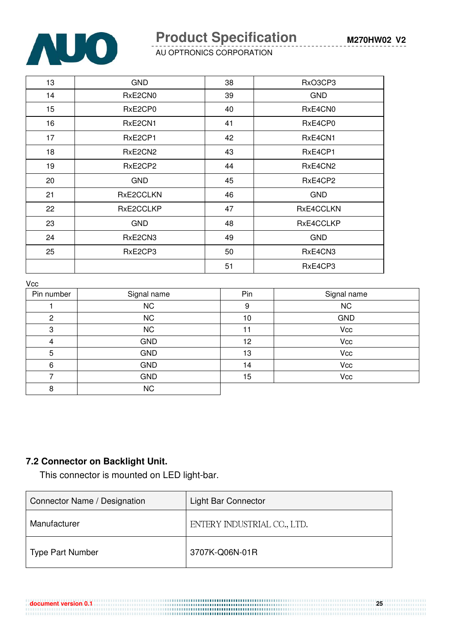

# **Product Specification**

AU OPTRONICS CORPORATION

| 13 | <b>GND</b> | 38 | RxO3CP3    |
|----|------------|----|------------|
| 14 | RxE2CN0    | 39 | <b>GND</b> |
| 15 | RxE2CP0    | 40 | RxE4CN0    |
| 16 | RxE2CN1    | 41 | RxE4CP0    |
| 17 | RxE2CP1    | 42 | RxE4CN1    |
| 18 | RxE2CN2    | 43 | RxE4CP1    |
| 19 | RxE2CP2    | 44 | RxE4CN2    |
| 20 | <b>GND</b> | 45 | RxE4CP2    |
| 21 | RxE2CCLKN  | 46 | <b>GND</b> |
| 22 | RxE2CCLKP  | 47 | RxE4CCLKN  |
| 23 | <b>GND</b> | 48 | RxE4CCLKP  |
| 24 | RxE2CN3    | 49 | <b>GND</b> |
| 25 | RxE2CP3    | 50 | RxE4CN3    |
|    |            | 51 | RxE4CP3    |

 $V_{C}$ 

| v oo       |             |     |             |  |
|------------|-------------|-----|-------------|--|
| Pin number | Signal name | Pin | Signal name |  |
|            | <b>NC</b>   | 9   | <b>NC</b>   |  |
| 2          | <b>NC</b>   | 10  | <b>GND</b>  |  |
| 3          | <b>NC</b>   | 11  | Vcc         |  |
| 4          | <b>GND</b>  | 12  | Vcc         |  |
| 5          | <b>GND</b>  | 13  | Vcc         |  |
| 6          | <b>GND</b>  | 14  | Vcc         |  |
|            | <b>GND</b>  | 15  | Vcc         |  |
| 8          | <b>NC</b>   |     |             |  |

## **7.2 Connector on Backlight Unit.**

This connector is mounted on LED light-bar.

| Connector Name / Designation | Light Bar Connector         |  |
|------------------------------|-----------------------------|--|
| Manufacturer                 | ENTERY INDUSTRIAL CO., LTD. |  |
| <b>Type Part Number</b>      | 3707K-Q06N-01R              |  |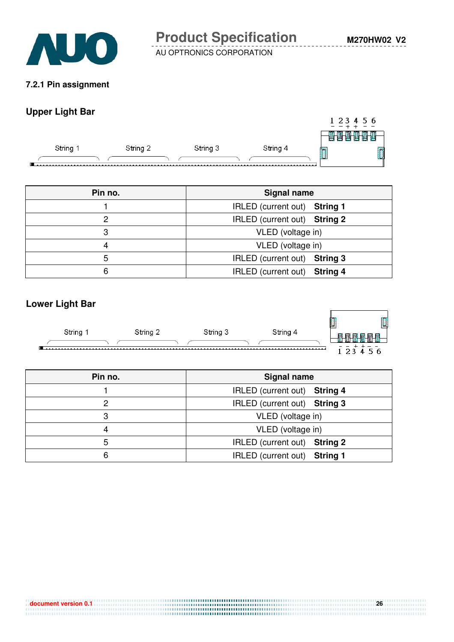

**M270HW02 V2**

AU OPTRONICS CORPORATION

#### **7.2.1 Pin assignment**

## **Upper Light Bar**

|        |          |          |          |   | 1 2 3 4 5 6 |
|--------|----------|----------|----------|---|-------------|
|        |          |          |          | ш |             |
| String | String 2 | String 3 | String 4 | - | Ō           |
|        |          |          |          |   |             |

| Pin no. | <b>Signal name</b>                     |  |
|---------|----------------------------------------|--|
|         | IRLED (current out) String 1           |  |
|         | IRLED (current out) String 2           |  |
| 3       | VLED (voltage in)                      |  |
|         | VLED (voltage in)                      |  |
| 5       | IRLED (current out)<br><b>String 3</b> |  |
| 6       | IRLED (current out) String 4           |  |

## **Lower Light Bar**



| Pin no. | <b>Signal name</b>                     |  |
|---------|----------------------------------------|--|
|         | IRLED (current out) String 4           |  |
| っ       | IRLED (current out) String 3           |  |
| 3       | VLED (voltage in)                      |  |
|         | VLED (voltage in)                      |  |
| 5       | IRLED (current out)<br><b>String 2</b> |  |
| 6       | <b>String 1</b><br>IRLED (current out) |  |

.........................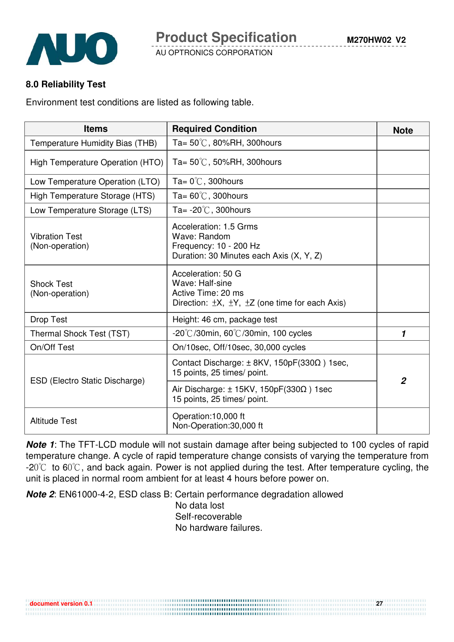

## **8.0 Reliability Test**

Environment test conditions are listed as following table.

| <b>Items</b>                             | <b>Required Condition</b>                                                                                                      | <b>Note</b>    |
|------------------------------------------|--------------------------------------------------------------------------------------------------------------------------------|----------------|
| Temperature Humidity Bias (THB)          | Ta= $50^{\circ}$ C, 80%RH, 300 hours                                                                                           |                |
| High Temperature Operation (HTO)         | Ta= $50^{\circ}$ C, 50%RH, 300 hours                                                                                           |                |
| Low Temperature Operation (LTO)          | Ta= $0^{\circ}$ C, 300 hours                                                                                                   |                |
| High Temperature Storage (HTS)           | Ta= $60^{\circ}$ C, 300 hours                                                                                                  |                |
| Low Temperature Storage (LTS)            | Ta= $-20^{\circ}$ C, 300 hours                                                                                                 |                |
| <b>Vibration Test</b><br>(Non-operation) | Acceleration: 1.5 Grms<br>Wave: Random<br>Frequency: 10 - 200 Hz<br>Duration: 30 Minutes each Axis (X, Y, Z)                   |                |
| <b>Shock Test</b><br>(Non-operation)     | Acceleration: 50 G<br>Wave: Half-sine<br>Active Time: 20 ms<br>Direction: $\pm X$ , $\pm Y$ , $\pm Z$ (one time for each Axis) |                |
| Drop Test                                | Height: 46 cm, package test                                                                                                    |                |
| Thermal Shock Test (TST)                 | -20 $\degree$ C/30min, 60 $\degree$ C/30min, 100 cycles                                                                        | 1              |
| On/Off Test                              | On/10sec, Off/10sec, 30,000 cycles                                                                                             |                |
| ESD (Electro Static Discharge)           | Contact Discharge: $\pm$ 8KV, 150pF(330 $\Omega$ ) 1sec,<br>15 points, 25 times/ point.                                        | $\overline{2}$ |
|                                          | Air Discharge: $\pm$ 15KV, 150pF(330 $\Omega$ ) 1sec<br>15 points, 25 times/ point.                                            |                |
| <b>Altitude Test</b>                     | Operation:10,000 ft<br>Non-Operation:30,000 ft                                                                                 |                |

**Note 1**: The TFT-LCD module will not sustain damage after being subjected to 100 cycles of rapid temperature change. A cycle of rapid temperature change consists of varying the temperature from  $-20^{\circ}$  to 60 $^{\circ}$ C, and back again. Power is not applied during the test. After temperature cycling, the unit is placed in normal room ambient for at least 4 hours before power on.

**Note 2**: EN61000-4-2, ESD class B: Certain performance degradation allowed

No data lost Self-recoverable No hardware failures.

**document version 0.1** 27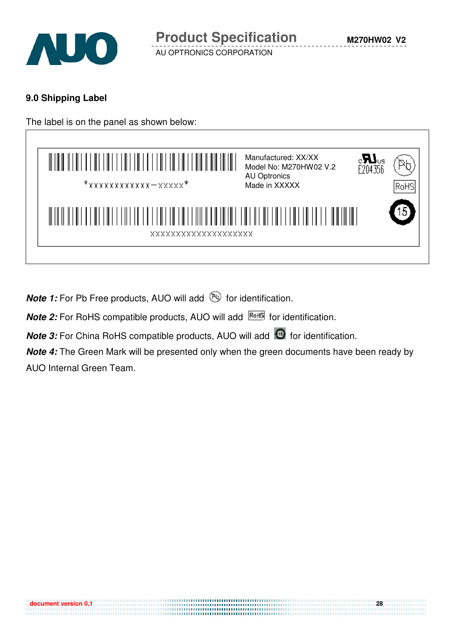

## **9.0 Shipping Label**



**Note 1:** For Pb Free products, AUO will add **b** for identification.

**Note 2:** For RoHS compatible products, AUO will add **ROHS** for identification.

**Note 3:** For China RoHS compatible products, AUO will add **6** for identification.

**Note 4:** The Green Mark will be presented only when the green documents have been ready by AUO Internal Green Team.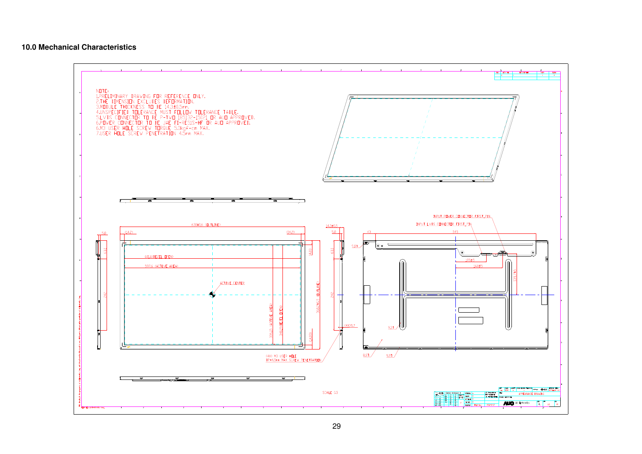#### **10.0 Mechanical Characteristics**

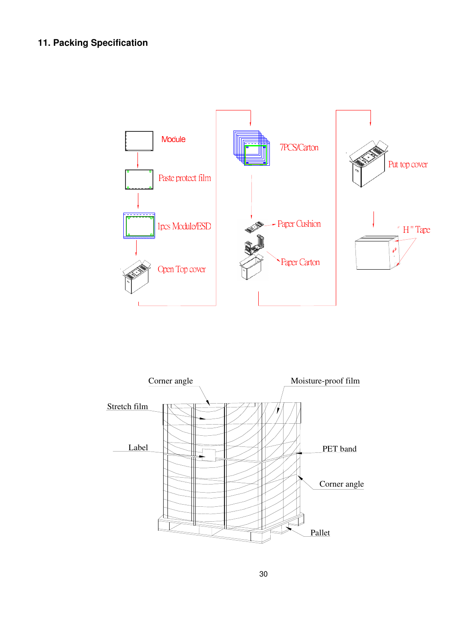